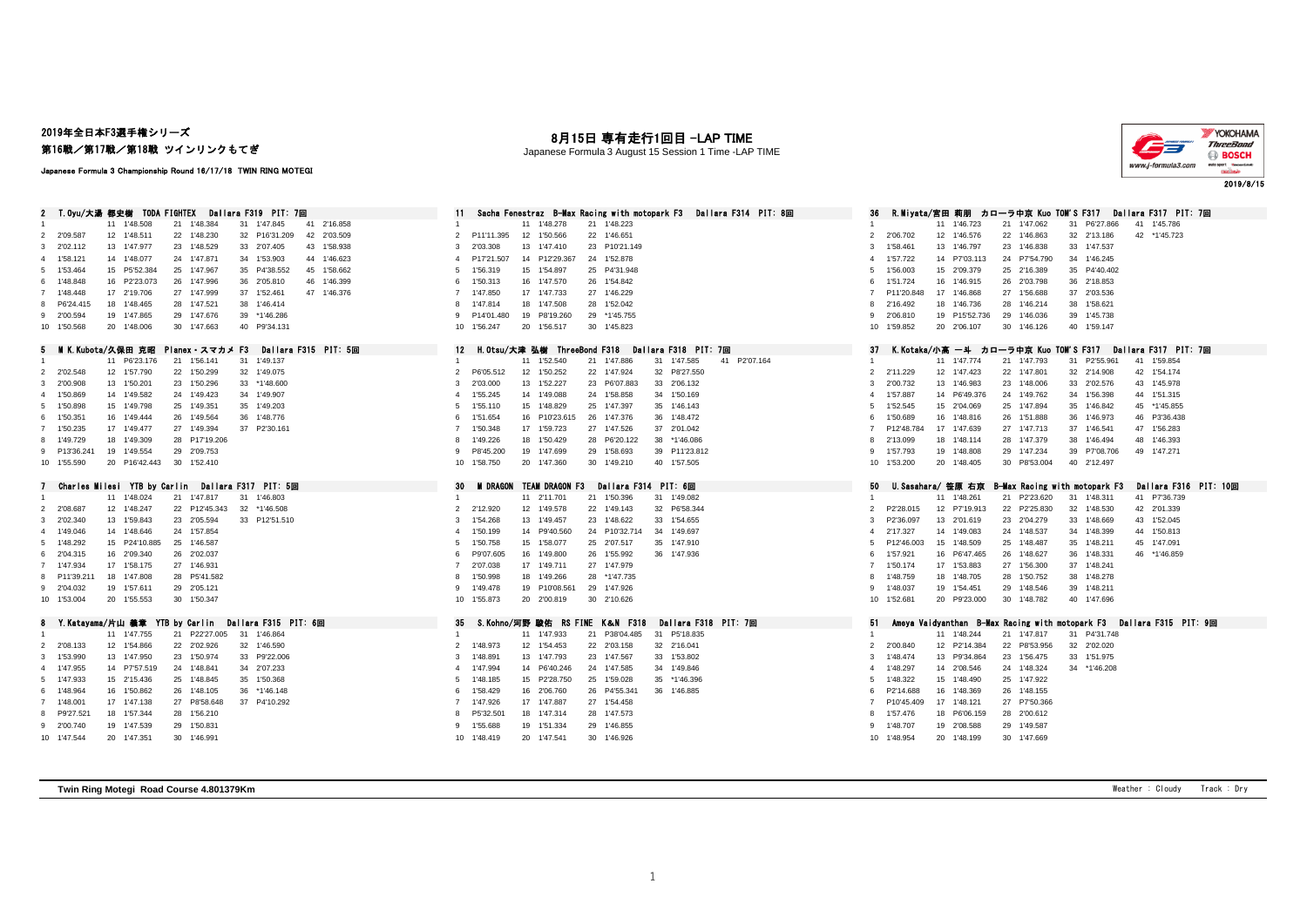### 2019年全日本F3選手権シリーズ 第16戦/第17戦/第18戦 ツインリンクもてぎ

## 月15日 専有走行1回目 -LAP TIME

Japanese Formula 3 August 15 Session 1 Time -LAP TIME



#### Japanese Formula 3 Championship Round 16/17/18 TWIN RING MOTEGI

| 2 T.Oyu/大湯 都史樹 TODA FIGHTEX Dallara F319 PIT: 7回                         | Sacha Fenestraz B-Max Racing with motopark F3 Dallara F314 PIT: 8回       | R.Miyata/宮田 莉朋 カローラ中京 Kuo TOM'S F317  Dallara F317 PIT: 7回                                |
|--------------------------------------------------------------------------|--------------------------------------------------------------------------|-------------------------------------------------------------------------------------------|
| 11 1'48.508<br>21 1'48.384<br>31 1'47.845<br>41 2'16.858<br>$\mathbf{1}$ | 11 1'48.278<br>21 1'48.223                                               | 11 1'46.723<br>21 1'47.062<br>31 P6'27.866<br>41 1'45.786                                 |
| 2 2'09.587<br>12 1'48.511<br>22 1'48.230<br>32 P16'31.209<br>42 2'03.509 | P11'11.395<br>12 1'50.566<br>22 1'46.651                                 | $\overline{2}$<br>2'06.702<br>42 *1'45.723<br>12 1'46.576<br>22 1'46,863<br>32 2'13.186   |
| 43 1'58,938<br>3 2'02.112<br>13 1'47.977<br>23 1'48.529<br>33 2'07.405   | 23 P10'21.149<br>2'03.308<br>13 1'47.410<br>$\mathcal{R}$                | 1'58.461<br>13 1'46.797<br>23 1'46.838<br>33 1'47.537<br>3                                |
| 14 1'48.077<br>24 1'47.871<br>34 1'53.903<br>44 1'46,623<br>4 1'58.121   | P17'21.507<br>14 P12'29.367<br>24 1'52.878                               | 1'57.722<br>14 P7'03.113<br>24 P7'54.790<br>34 1'46.245<br>$\Delta$                       |
| 15 P5'52.384<br>35 P4'38.552<br>45 1'58,662<br>5 1'53.464<br>25 1'47.967 | 15 1'54.897<br>25 P4'31.948<br>1'56.319                                  | 35 P4'40.402<br>1'56,003<br>15 2'09.379<br>25 2'16.389<br>5                               |
| 16 P2'23.073<br>26 1'47.996<br>36 2'05.810<br>46 1'46.399<br>6 1'48.848  | 1'50.313<br>16 1'47.570<br>26 1'54.842                                   | 1'51.724<br>16 1'46.915<br>26 2'03.798<br>36 2'18.853<br>6                                |
| 7 1'48,448<br>17 2'19.706<br>27 1'47.999<br>37 1'52.461<br>47 1'46.376   | 1'47.850<br>17 1'47.733<br>27 1'46.229                                   | 17 1'46.868<br>27 1'56,688<br>37 2'03.536<br>-7<br>P11'20.848                             |
| 18 1'48.465<br>28 1'47.521<br>38 1'46.414<br>8 P6'24.415                 | 1'47.814<br>18 1'47,508<br>28 1'52.042<br>8                              | 2'16.492<br>18 1'46.736<br>28 1'46.214<br>38 1'58.621<br>8                                |
| 19 1'47.865<br>29 1'47.676<br>39 *1'46.286<br>9 2'00.594                 | 19 P8'19.260<br>29 *1'45.755<br>P14'01.480                               | 29 1'46.036<br>39 1'45.738<br>9<br>2'06.810<br>19 P15'52.736                              |
| 10 1'50.568<br>30 1'47.663<br>40 P9'34.131<br>20 1'48.006                | 20 1'56.517<br>30 1'45.823<br>10 1'56.247                                | 10 1'59.852<br>40 1'59.147<br>20 2'06.107<br>30 1'46.126                                  |
|                                                                          |                                                                          |                                                                                           |
| 5 MIK.Kubota/久保田 克昭<br>Planex スマカメ F3<br>Dallara F315 PIT: 5回            | 12<br>H.Otsu/大津 弘樹 ThreeBond F318<br>Dallara F318 PIT: 7回                | -37<br>K.Kotaka/小高 一斗 カローラ中亰 Kuo TOM'S F317<br>Dallara F317 PIT: 7回                       |
| 11 P6'23.176<br>21 1'56.141<br>31 1'49.137<br>$\mathbf{1}$               | 11 1'52.540<br>21 1'47.886<br>31 1'47.585<br>41 P2'07.164                | 11 1'47.774<br>21 1'47.793<br>31 P2'55.961<br>41 1'59.854<br>$\overline{1}$               |
| 2 2'02.548<br>12 1'57,790<br>22 1'50.299<br>32 1'49.075                  | P6'05.512<br>22 1'47.924<br>32 P8'27.550<br>12 1'50.252                  | 2'11.229<br>12 1'47.423<br>42 1'54.174<br>$\overline{2}$<br>22 1'47.801<br>32 2'14.908    |
| 3 2'00.908<br>13 1'50.201<br>23 1'50.296<br>33 *1'48,600                 | 2'03.000<br>13 1'52.227<br>23 P6'07.883<br>33 2'06.132                   | 3<br>2'00.732<br>13 1'46.983<br>23 1'48.006<br>33 2'02.576<br>43 1'45.978                 |
| 4 1'50.869<br>14 1'49.582<br>24 1'49.423<br>34 1'49.907                  | 1'55.245<br>14 1'49.088<br>24 1'58.858<br>34 1'50.169<br>$\Delta$        | 1'57.887<br>14 P6'49.376<br>34 1'56.398<br>44 1'51.315<br>$\Delta$<br>24 1'49.762         |
| 5 1'50.898<br>15 1'49.798<br>25 1'49.351<br>35 1'49.203                  | 15 1'48.829<br>25 1'47.397<br>35 1'46.143<br>1'55.110<br>5               | 45 *1'45.855<br>5<br>1'52.545<br>15 2'04.069<br>25 1'47.894<br>35 1'46.842                |
| 36 1'48.776<br>6 1'50.351<br>16 1'49.444<br>26 1'49.564                  | 26 1'47.376<br>36 1'48.472<br>1'51.654<br>16 P10'23.615                  | 1'50.689<br>16 1'48.816<br>36 1'46.973<br>46 P3'36.438<br>6<br>26 1'51.888                |
| 7 1'50.235<br>27 1'49.394<br>37 P2'30.161<br>17 1'49.477                 | 17 1'59.723<br>27 1'47.526<br>37 2'01.042<br>1'50.348                    | 17 1'47.639<br>37 1'46.541<br>47 1'56.283<br>P12'48.784<br>27 1'47.713<br>-7              |
| 28 P17'19.206<br>18 1'49.309<br>8 1'49.729                               | 1'49.226<br>18 1'50.429<br>28 P6'20.122<br>38 *1'46,086                  | 2'13.099<br>18 1'48.114<br>28 1'47.379<br>38 1'46.494<br>48 1'46.393<br>8                 |
| 19 1'49.554<br>29 2'09.753<br>9 P13'36.241                               | P8'45.200<br>19 1'47.699<br>29 1'58.693<br>39 P11'23.812<br>q            | 19 1'48.808<br>29 1'47.234<br>39 P7'08.706<br>49 1'47.271<br>q<br>1'57.793                |
| 20 P16'42.443 30 1'52.410<br>10 1'55,590                                 | 10 1'58.750<br>30 1'49.210<br>40 1'57,505<br>20 1'47.360                 | 30 P8'53,004<br>40 2'12.497<br>10 1'53,200<br>20 1'48,405                                 |
|                                                                          |                                                                          |                                                                                           |
|                                                                          | M DRAGON<br>TEAM DRAGON F3<br>Dallara F314 PIT: 6回<br>30                 | 50<br>Dallara F316 PIT: 10回<br>U.Sasahara/ 笹原 右京<br>B-Max Racing with motopark F3         |
| Charles Milesi YTB by Carlin Dallara F317 PIT: 5回                        |                                                                          |                                                                                           |
| 11 1'48.024<br>21 1'47.817<br>31 1'46,803<br>$\mathbf{1}$                | 11 2'11.701<br>21 1'50.396<br>31 1'49.082                                | 11 1'48.261<br>21 P2'23.620<br>31 1'48.311<br>41 P7'36.739                                |
| 2 2'08.687<br>12 1'48.247<br>22 P12'45.343<br>32 *1'46.508               | 2 2'12.920<br>12 1'49.578<br>22 1'49.143<br>32 P6'58.344                 | P2'28.015<br>12 P7'19.913<br>22 P2'25.830<br>32 1'48.530<br>42 2'01.339<br>$\overline{2}$ |
| 13 1'59.843<br>23 2'05.594<br>33 P12'51.510<br>3 2'02.340                | 1'54.268<br>23 1'48.622<br>33 1'54.655<br>13 1'49.457                    | 43 1'52.045<br>$\mathbf{3}$<br>13 2'01.619<br>23 2'04.279<br>33 1'48,669<br>P2'36.097     |
| 24 1'57.854<br>14 1'48.646<br>4 1'49.046                                 | 24 P10'32.714<br>34 1'49.697<br>1'50.199<br>14 P9'40.560                 | 44 1'50.813<br>2'17.327<br>14 1'49.083<br>24 1'48.537<br>34 1'48,399<br>$\overline{4}$    |
| 15 P24'10.885<br>25 1'46.587<br>5 1'48.292                               | 15 1'58,077<br>35 1'47.910<br>1'50.758<br>25 2'07.517<br>-5              | 15 1'48,509<br>45 1'47.091<br>P12'46,003<br>25 1'48,487<br>35 1'48.211<br>5               |
| 26 2'02.037<br>6 2'04.315<br>16 2'09.340                                 | 36 1'47.936<br>P9'07.605<br>16 1'49.800<br>26 1'55.992                   | 16 P6'47.465<br>46 *1'46.859<br>1'57.921<br>26 1'48.627<br>36 1'48.331<br>6               |
| 17 1'58.175<br>7 1'47.934<br>27 1'46.931                                 | 27 1'47.979<br>2'07.038<br>17 1'49.711<br>$\overline{7}$                 | $\overline{7}$<br>1'50.174<br>17 1'53.883<br>27 1'56.300<br>37 1'48.241                   |
| 28 P5'41.582<br>8 P11'39.21<br>18 1'47.808                               | 28 *1'47.735<br>1'50.998<br>18 1'49.266                                  | 38 1'48.278<br>1'48.759<br>18 1'48.705<br>28 1'50.752<br>8                                |
| 9 2'04.032<br>19 1'57.611<br>29 2'05.121                                 | 1'49.478<br>19 P10'08.561<br>29 1'47.926                                 | 1'48.037<br>19 1'54.451<br>29 1'48.546<br>39 1'48.211<br>q                                |
| 10 1'53.004<br>20 1'55.553<br>30 1'50.347                                | 10 1'55.873<br>20 2'00.819<br>30 2'10.626                                | 20 P9'23.000<br>30 1'48.782<br>40 1'47.696<br>10 1'52.681                                 |
|                                                                          |                                                                          |                                                                                           |
| 8 Y.Katayama/片山 義章 YTB by Carlin<br>Dallara F315 PIT: 6回                 | S.Kohno/河野 駿佑 RS FINE K&N F318<br>Dallara F318 PIT: 7回<br>35             | 51<br>Ameya Vaidyanthan B-Max Racing with motopark F3 Dallara F315 PIT: 9回                |
| 11 1'47.755<br>21 P22'27.005<br>31 1'46.864<br>$\mathbf{1}$              | 11 1'47.933<br>P38'04.485<br>31 P5'18.835<br>21                          | 11 1'48.244<br>21 1'47.817<br>31 P4'31.748                                                |
| 2 2'08.133<br>12 1'54,866<br>22 2'02.926<br>32 1'46.590                  | 1'48.973<br>12 1'54.453<br>22 2'03.158<br>32 2'16.041<br>$\overline{2}$  | $\overline{2}$<br>2'00.840<br>12 P2'14.384<br>22 P8'53.956<br>32 2'02.020                 |
| 3 1'53.990<br>23 1'50.974<br>33 P9'22,006<br>13 1'47,950                 | 13 1'47.793<br>23 1'47.567<br>33 1'53.802<br>1'48.891                    | 33 1'51.975<br>3<br>1'48.474<br>13 P9'34.864<br>23 1'56.475                               |
| 4 1'47.955<br>14 P7'57.519<br>24 1'48.841<br>34 2'07.233                 | 1'47.994<br>14 P6'40.246<br>24 1'47.585<br>34 1'49.846<br>$\overline{a}$ | 1'48.297<br>14 2'08.546<br>24 1'48.324<br>34 *1'46.208<br>$\Delta$                        |
| 15 2'15.436<br>25 1'48.845<br>35 1'50.368<br>5 1'47.933                  | 1'48.185<br>15 P2'28.750<br>25 1'59.028<br>35 *1'46.396<br>-5            | 15 1'48.490<br>25 1'47.922<br>5<br>1'48.322                                               |
| 36 *1'46.148<br>6 1'48.964<br>16 1'50.862<br>26 1'48.105                 | 1'58.429<br>16 2'06.760<br>26 P4'55.341<br>36 1'46.885<br>$\epsilon$     | P2'14.688<br>16 1'48.369<br>26 1'48.155<br>6                                              |
| 17 1'47.138<br>27 P8'58.648<br>37 P4'10.292<br>7 1'48,001                | 1'47.926<br>17 1'47.887<br>27 1'54.458                                   | 27 P7'50.366<br>P10'45.409<br>17 1'48.121<br>-7                                           |
| 8 P9'27.521<br>18 1'57.344<br>28 1'56.210                                | P5'32.501<br>18 1'47.314<br>28 1'47.573                                  | 1'57.476<br>18 P6'06.159<br>28 2'00.612<br>8                                              |
| 19 1'47.539<br>29 1'50.831<br>9 2'00.740                                 | 19 1'51.334<br>29 1'46.855<br>1'55.688                                   | 29 1'49.587<br>9<br>1'48.707<br>19 2'08.588                                               |
| 10 1'47.544<br>20 1'47.351<br>30 1'46,991                                | 10 1'48.419<br>20 1'47.541<br>30 1'46.926                                | 10 1'48.954<br>20 1'48.199<br>30 1'47,669                                                 |

**Twin Ring Motegi Road Course 4.801379Km** Weather : Cloudy Track : Dry